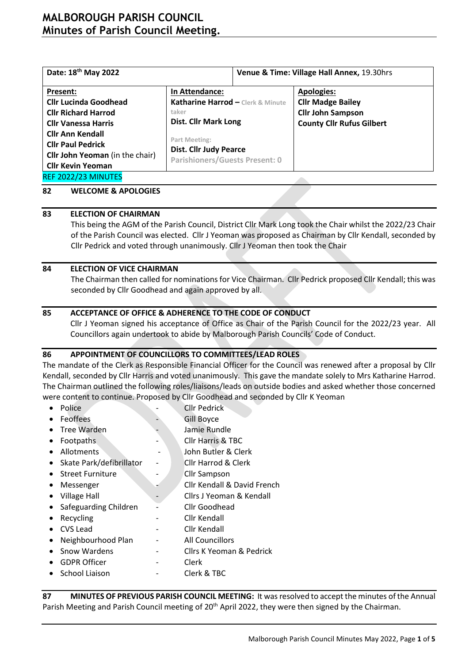# **MALBOROUGH PARISH COUNCIL Minutes of Parish Council Meeting.**

| Date: 18 <sup>th</sup> May 2022                                    |                                                     | Venue & Time: Village Hall Annex, 19.30hrs |                                               |  |  |
|--------------------------------------------------------------------|-----------------------------------------------------|--------------------------------------------|-----------------------------------------------|--|--|
| Present:<br><b>Cllr Lucinda Goodhead</b>                           | In Attendance:<br>Katharine Harrod - Clerk & Minute |                                            | <b>Apologies:</b><br><b>Cllr Madge Bailey</b> |  |  |
| <b>Cllr Richard Harrod</b>                                         | taker<br><b>Dist. Cllr Mark Long</b>                |                                            | <b>Cllr John Sampson</b>                      |  |  |
| <b>Cllr Vanessa Harris</b><br><b>Cllr Ann Kendall</b>              | Part Meeting:                                       |                                            | <b>County Cllr Rufus Gilbert</b>              |  |  |
| <b>Cllr Paul Pedrick</b><br><b>Cllr John Yeoman</b> (in the chair) | <b>Dist. Cllr Judy Pearce</b>                       |                                            |                                               |  |  |
| <b>Cllr Kevin Yeoman</b>                                           | <b>Parishioners/Guests Present: 0</b>               |                                            |                                               |  |  |
| REF 2022/23 MINUTES                                                |                                                     |                                            |                                               |  |  |

#### **82 WELCOME & APOLOGIES**

#### **83 ELECTION OF CHAIRMAN**

This being the AGM of the Parish Council, District Cllr Mark Long took the Chair whilst the 2022/23 Chair of the Parish Council was elected. Cllr J Yeoman was proposed as Chairman by Cllr Kendall, seconded by Cllr Pedrick and voted through unanimously. Cllr J Yeoman then took the Chair

#### **84 ELECTION OF VICE CHAIRMAN**

The Chairman then called for nominations for Vice Chairman. Cllr Pedrick proposed Cllr Kendall; this was seconded by Cllr Goodhead and again approved by all.

#### **85 ACCEPTANCE OF OFFICE & ADHERENCE TO THE CODE OF CONDUCT**

Cllr J Yeoman signed his acceptance of Office as Chair of the Parish Council for the 2022/23 year. All Councillors again undertook to abide by Malborough Parish Councils' Code of Conduct.

#### **86 APPOINTMENT OF COUNCILLORS TO COMMITTEES/LEAD ROLES**

The mandate of the Clerk as Responsible Financial Officer for the Council was renewed after a proposal by Cllr Kendall, seconded by Cllr Harris and voted unanimously. This gave the mandate solely to Mrs Katharine Harrod. The Chairman outlined the following roles/liaisons/leads on outside bodies and asked whether those concerned were content to continue. Proposed by Cllr Goodhead and seconded by Cllr K Yeoman

| Police                   | <b>Cllr Pedrick</b>          |
|--------------------------|------------------------------|
| Feoffees                 | <b>Gill Boyce</b>            |
| <b>Tree Warden</b>       | Jamie Rundle                 |
| <b>Footpaths</b>         | <b>Cllr Harris &amp; TBC</b> |
| Allotments               | John Butler & Clerk          |
| Skate Park/defibrillator | Cllr Harrod & Clerk          |
| <b>Street Furniture</b>  | <b>Cllr Sampson</b>          |
| Messenger                | Cllr Kendall & David French  |
| <b>Village Hall</b>      | Cllrs J Yeoman & Kendall     |
| Safeguarding Children    | Cllr Goodhead                |
| Recycling                | Cllr Kendall                 |
| <b>CVS Lead</b>          | Cllr Kendall                 |
| Neighbourhood Plan       | <b>All Councillors</b>       |
| Snow Wardens             | Cllrs K Yeoman & Pedrick     |
| <b>GDPR Officer</b>      | Clerk                        |
| School Liaison           | Clerk & TBC                  |
|                          |                              |

**87 MINUTES OF PREVIOUS PARISH COUNCIL MEETING:** It was resolved to accept the minutes of the Annual Parish Meeting and Parish Council meeting of 20<sup>th</sup> April 2022, they were then signed by the Chairman.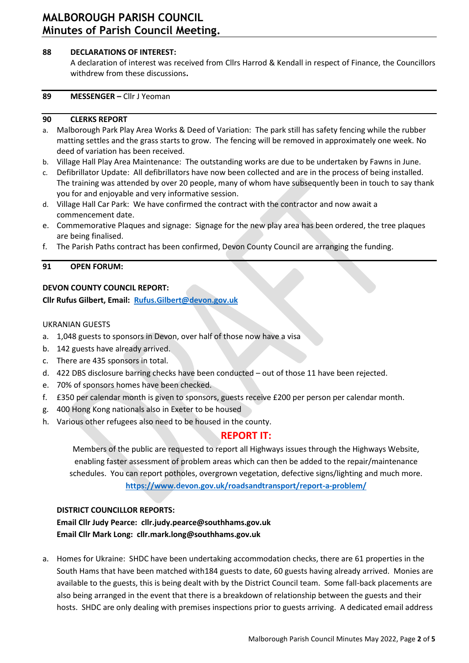# **MALBOROUGH PARISH COUNCIL Minutes of Parish Council Meeting.**

## **88 DECLARATIONS OF INTEREST:**

A declaration of interest was received from Cllrs Harrod & Kendall in respect of Finance, the Councillors withdrew from these discussions**.**

#### **89 MESSENGER –** Cllr J Yeoman

### **90 CLERKS REPORT**

- a. Malborough Park Play Area Works & Deed of Variation: The park still has safety fencing while the rubber matting settles and the grass starts to grow. The fencing will be removed in approximately one week. No deed of variation has been received.
- b. Village Hall Play Area Maintenance: The outstanding works are due to be undertaken by Fawns in June.
- c. Defibrillator Update: All defibrillators have now been collected and are in the process of being installed. The training was attended by over 20 people, many of whom have subsequently been in touch to say thank you for and enjoyable and very informative session.
- d. Village Hall Car Park: We have confirmed the contract with the contractor and now await a commencement date.
- e. Commemorative Plaques and signage: Signage for the new play area has been ordered, the tree plaques are being finalised.
- f. The Parish Paths contract has been confirmed, Devon County Council are arranging the funding.

### **91 OPEN FORUM:**

## **DEVON COUNTY COUNCIL REPORT:**

## **Cllr Rufus Gilbert, Email: [Rufus.Gilbert@devon.gov.uk](mailto:Rufus.Gilbert@devon.gov.uk)**

### UKRANIAN GUESTS

- a. 1,048 guests to sponsors in Devon, over half of those now have a visa
- b. 142 guests have already arrived.
- c. There are 435 sponsors in total.
- d. 422 DBS disclosure barring checks have been conducted out of those 11 have been rejected.
- e. 70% of sponsors homes have been checked.
- f. £350 per calendar month is given to sponsors, guests receive £200 per person per calendar month.
- g. 400 Hong Kong nationals also in Exeter to be housed
- h. Various other refugees also need to be housed in the county.

## **REPORT IT:**

Members of the public are requested to report all Highways issues through the Highways Website, enabling faster assessment of problem areas which can then be added to the repair/maintenance schedules. You can report potholes, overgrown vegetation, defective signs/lighting and much more. **<https://www.devon.gov.uk/roadsandtransport/report-a-problem/>**

#### **DISTRICT COUNCILLOR REPORTS:**

**Email Cllr Judy Pearce: [cllr.judy.pearce@southhams.gov.uk](file:///C:/Users/katha/Downloads/cllr.judy.pearce@southhams.gov.uk) Email Cllr Mark Long: [cllr.mark.long@southhams.gov.uk](mailto:cllr.mark.long@southhams.gov.uk)**

a. Homes for Ukraine: SHDC have been undertaking accommodation checks, there are 61 properties in the South Hams that have been matched with184 guests to date, 60 guests having already arrived. Monies are available to the guests, this is being dealt with by the District Council team. Some fall-back placements are also being arranged in the event that there is a breakdown of relationship between the guests and their hosts. SHDC are only dealing with premises inspections prior to guests arriving. A dedicated email address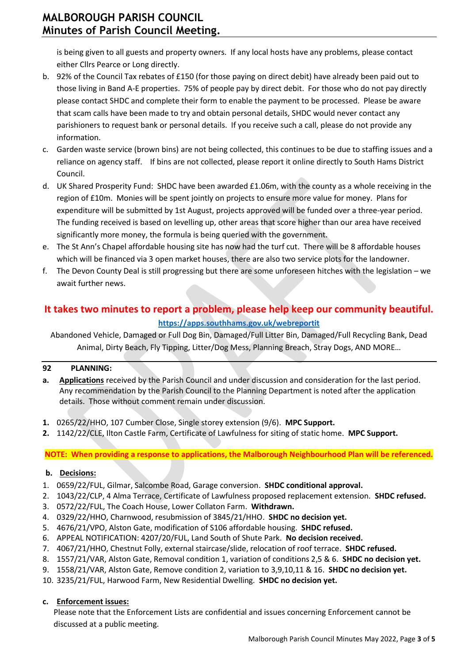is being given to all guests and property owners. If any local hosts have any problems, please contact either Cllrs Pearce or Long directly.

- b. 92% of the Council Tax rebates of £150 (for those paying on direct debit) have already been paid out to those living in Band A-E properties. 75% of people pay by direct debit. For those who do not pay directly please contact SHDC and complete their form to enable the payment to be processed. Please be aware that scam calls have been made to try and obtain personal details, SHDC would never contact any parishioners to request bank or personal details. If you receive such a call, please do not provide any information.
- c. Garden waste service (brown bins) are not being collected, this continues to be due to staffing issues and a reliance on agency staff. If bins are not collected, please report it online directly to South Hams District Council.
- d. UK Shared Prosperity Fund: SHDC have been awarded £1.06m, with the county as a whole receiving in the region of £10m. Monies will be spent jointly on projects to ensure more value for money. Plans for expenditure will be submitted by 1st August, projects approved will be funded over a three-year period. The funding received is based on levelling up, other areas that score higher than our area have received significantly more money, the formula is being queried with the government.
- e. The St Ann's Chapel affordable housing site has now had the turf cut. There will be 8 affordable houses which will be financed via 3 open market houses, there are also two service plots for the landowner.
- f. The Devon County Deal is still progressing but there are some unforeseen hitches with the legislation we await further news.

# **It takes two minutes to report a problem, please help keep our community beautiful. <https://apps.southhams.gov.uk/webreportit>**

Abandoned Vehicle, Damaged or Full Dog Bin, Damaged/Full Litter Bin, Damaged/Full Recycling Bank, Dead Animal, Dirty Beach, Fly Tipping, Litter/Dog Mess, Planning Breach, Stray Dogs, AND MORE…

## **92 PLANNING:**

- **a. Applications** received by the Parish Council and under discussion and consideration for the last period. Any recommendation by the Parish Council to the Planning Department is noted after the application details. Those without comment remain under discussion.
- **1.** 0265/22/HHO, 107 Cumber Close, Single storey extension (9/6). **MPC Support.**
- **2.** 1142/22/CLE, Ilton Castle Farm, Certificate of Lawfulness for siting of static home. **MPC Support.**

**NOTE: When providing a response to applications, the Malborough Neighbourhood Plan will be referenced.**

## **b. Decisions:**

- 1. 0659/22/FUL, Gilmar, Salcombe Road, Garage conversion. **SHDC conditional approval.**
- 2. 1043/22/CLP, 4 Alma Terrace, Certificate of Lawfulness proposed replacement extension. **SHDC refused.**
- 3. 0572/22/FUL, The Coach House, Lower Collaton Farm. **Withdrawn.**
- 4. 0329/22/HHO, Charnwood, resubmission of 3845/21/HHO. **SHDC no decision yet.**
- 5. 4676/21/VPO, Alston Gate, modification of S106 affordable housing. **SHDC refused.**
- 6. APPEAL NOTIFICATION: 4207/20/FUL, Land South of Shute Park. **No decision received.**
- 7. 4067/21/HHO, Chestnut Folly, external staircase/slide, relocation of roof terrace. **SHDC refused.**
- 8. 1557/21/VAR, Alston Gate, Removal condition 1, variation of conditions 2,5 & 6. **SHDC no decision yet.**
- 9. 1558/21/VAR, Alston Gate, Remove condition 2, variation to 3,9,10,11 & 16. **SHDC no decision yet.**
- 10. 3235/21/FUL, Harwood Farm, New Residential Dwelling. **SHDC no decision yet.**

## **c. Enforcement issues:**

Please note that the Enforcement Lists are confidential and issues concerning Enforcement cannot be discussed at a public meeting.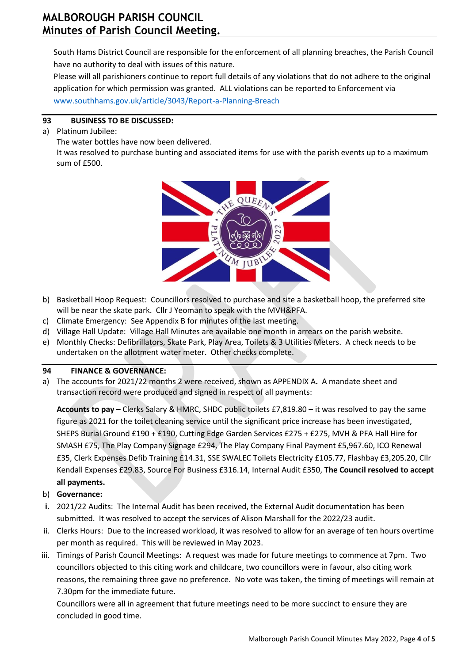South Hams District Council are responsible for the enforcement of all planning breaches, the Parish Council have no authority to deal with issues of this nature.

Please will all parishioners continue to report full details of any violations that do not adhere to the original application for which permission was granted. ALL violations can be reported to Enforcement via [www.southhams.gov.uk/article/3043/Report-a-Planning-Breach](http://www.southhams.gov.uk/article/3043/Report-a-Planning-Breach)

## **93 BUSINESS TO BE DISCUSSED:**

a) Platinum Jubilee:

The water bottles have now been delivered.

It was resolved to purchase bunting and associated items for use with the parish events up to a maximum sum of £500.



- b) Basketball Hoop Request: Councillors resolved to purchase and site a basketball hoop, the preferred site will be near the skate park. Cllr J Yeoman to speak with the MVH&PFA.
- c) Climate Emergency: See Appendix B for minutes of the last meeting.
- d) Village Hall Update: Village Hall Minutes are available one month in arrears on the parish website.
- e) Monthly Checks: Defibrillators, Skate Park, Play Area, Toilets & 3 Utilities Meters. A check needs to be undertaken on the allotment water meter. Other checks complete.

## **94 FINANCE & GOVERNANCE:**

a) The accounts for 2021/22 months 2 were received, shown as APPENDIX A**.** A mandate sheet and transaction record were produced and signed in respect of all payments:

**Accounts to pay** – Clerks Salary & HMRC, SHDC public toilets £7,819.80 – it was resolved to pay the same figure as 2021 for the toilet cleaning service until the significant price increase has been investigated, SHEPS Burial Ground £190 + £190, Cutting Edge Garden Services £275 + £275, MVH & PFA Hall Hire for SMASH £75, The Play Company Signage £294, The Play Company Final Payment £5,967.60, ICO Renewal £35, Clerk Expenses Defib Training £14.31, SSE SWALEC Toilets Electricity £105.77, Flashbay £3,205.20, Cllr Kendall Expenses £29.83, Source For Business £316.14, Internal Audit £350, **The Council resolved to accept all payments.**

- b) **Governance:**
- **i.** 2021/22 Audits: The Internal Audit has been received, the External Audit documentation has been submitted. It was resolved to accept the services of Alison Marshall for the 2022/23 audit.
- ii. Clerks Hours: Due to the increased workload, it was resolved to allow for an average of ten hours overtime per month as required. This will be reviewed in May 2023.
- iii. Timings of Parish Council Meetings: A request was made for future meetings to commence at 7pm. Two councillors objected to this citing work and childcare, two councillors were in favour, also citing work reasons, the remaining three gave no preference. No vote was taken, the timing of meetings will remain at 7.30pm for the immediate future.

Councillors were all in agreement that future meetings need to be more succinct to ensure they are concluded in good time.